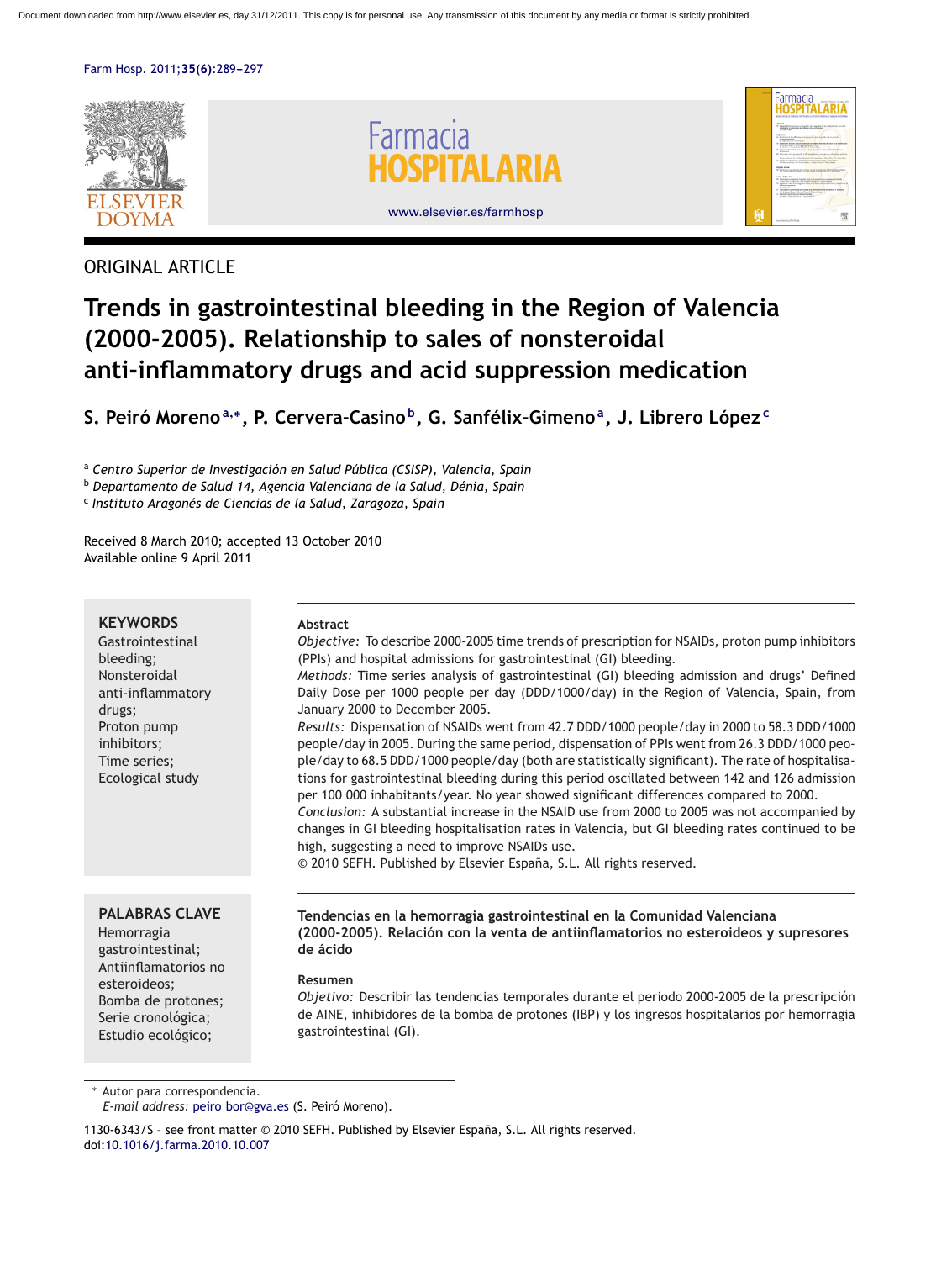[Farm Hosp. 2011;](dx.doi.org/10.1016/j.farma.2010.10.007)35(6):289-297



## ORIGINAL ARTICLE

# **Trends in gastrointestinal bleeding in the Region of Valencia (2000-2005). Relationship to sales of nonsteroidal anti-inflammatory drugs and acid suppression medication**

**S. Peiró Moreno<sup>a</sup>,∗, P. Cervera-Casino b, G. Sanfélix-Gimenoa, J. Librero Lópezc**

<sup>a</sup> *Centro Superior de Investigación en Salud Pública (CSISP), Valencia, Spain*

<sup>b</sup> *Departamento de Salud 14, Agencia Valenciana de la Salud, Dénia, Spain*

<sup>c</sup> *Instituto Aragonés de Ciencias de la Salud, Zaragoza, Spain*

Received 8 March 2010; accepted 13 October 2010 Available online 9 April 2011

## **KEYWORDS**

Gastrointestinal bleeding; Nonsteroidal anti-inflammatory drugs; Proton pump inhibitors; Time series; Ecological study

## **Abstract**

*Objective:* To describe 2000-2005 time trends of prescription for NSAIDs, proton pump inhibitors (PPIs) and hospital admissions for gastrointestinal (GI) bleeding. *Methods:* Time series analysis of gastrointestinal (GI) bleeding admission and drugs' Defined Daily Dose per 1000 people per day (DDD/1000/day) in the Region of Valencia, Spain, from January 2000 to December 2005. *Results:* Dispensation of NSAIDs went from 42.7 DDD/1000 people/day in 2000 to 58.3 DDD/1000 people/day in 2005. During the same period, dispensation of PPIs went from 26.3 DDD/1000 people/day to 68.5 DDD/1000 people/day (both are statistically significant). The rate of hospitalisations for gastrointestinal bleeding during this period oscillated between 142 and 126 admission per 100 000 inhabitants/year. No year showed significant differences compared to 2000. *Conclusion:* A substantial increase in the NSAID use from 2000 to 2005 was not accompanied by changes in GI bleeding hospitalisation rates in Valencia, but GI bleeding rates continued to be high, suggesting a need to improve NSAIDs use.

© 2010 SEFH. Published by Elsevier España, S.L. All rights reserved.

## **PALABRAS CLAVE**

Hemorragia gastrointestinal; Antiinflamatorios no esteroideos; Bomba de protones; Serie cronológica; Estudio ecológico;

**Tendencias en la hemorragia gastrointestinal en la Comunidad Valenciana (2000-2005). Relación con la venta de antiinflamatorios no esteroideos y supresores de ácido**

## **Resumen**

*Objetivo:* Describir las tendencias temporales durante el periodo 2000-2005 de la prescripción de AINE, inhibidores de la bomba de protones (IBP) y los ingresos hospitalarios por hemorragia gastrointestinal (GI).

Autor para correspondencia.

1130-6343/\$ – see front matter © 2010 SEFH. Published by Elsevier España, S.L. All rights reserved. doi[:10.1016/j.farma.2010.10.007](dx.doi.org/10.1016/j.farma.2010.10.007)

*E-mail address:* peiro [bor@gva.es](mailto:peiro_bor@gva.es) (S. Peiró Moreno).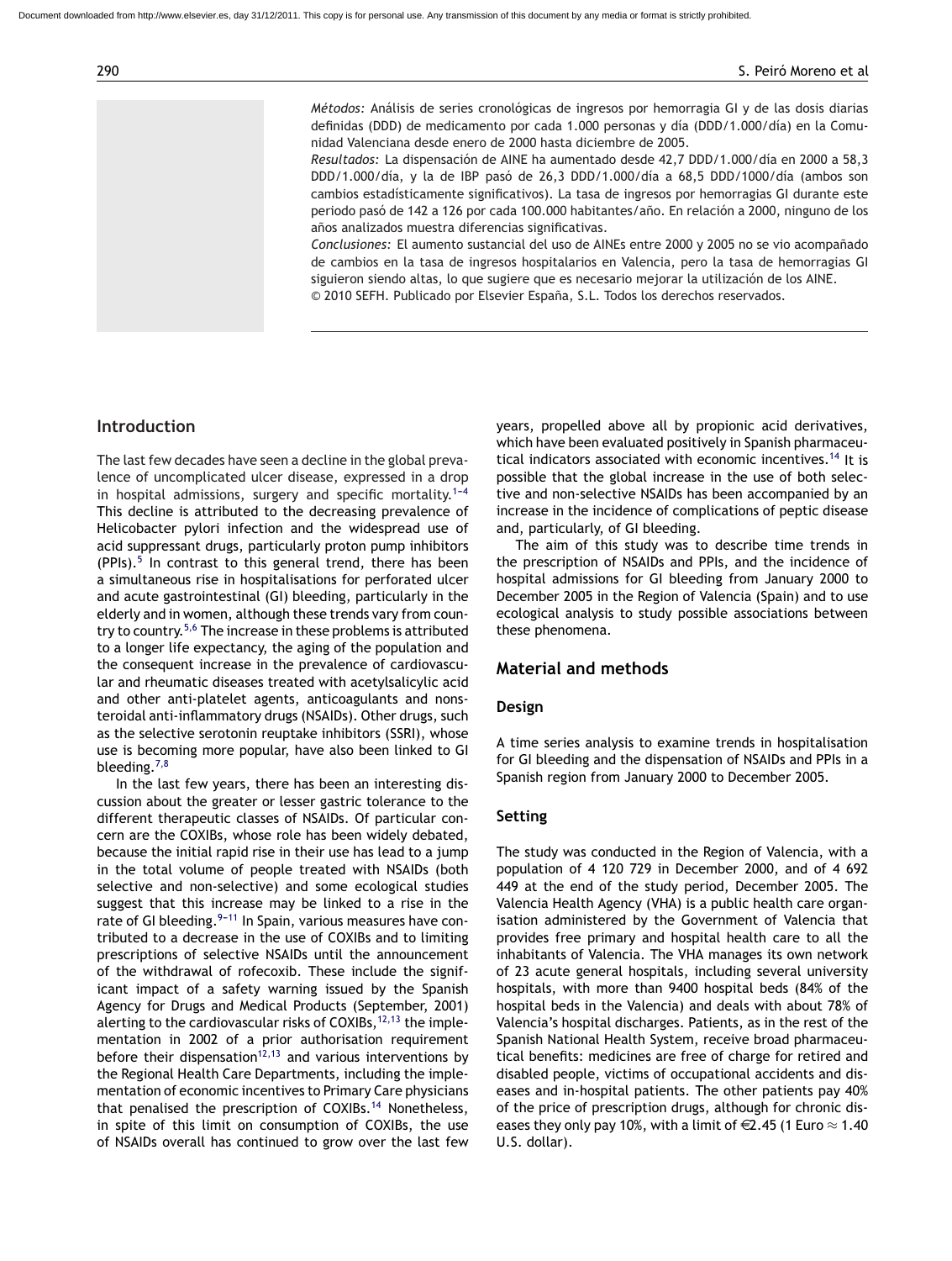*Métodos:* Análisis de series cronológicas de ingresos por hemorragia GI y de las dosis diarias definidas (DDD) de medicamento por cada 1.000 personas y día (DDD/1.000/día) en la Comunidad Valenciana desde enero de 2000 hasta diciembre de 2005.

*Resultados:* La dispensación de AINE ha aumentado desde 42,7 DDD/1.000/día en 2000 a 58,3 DDD/1.000/día, y la de IBP pasó de 26,3 DDD/1.000/día a 68,5 DDD/1000/día (ambos son cambios estadísticamente significativos). La tasa de ingresos por hemorragias GI durante este periodo pasó de 142 a 126 por cada 100.000 habitantes/año. En relación a 2000, ninguno de los años analizados muestra diferencias significativas.

*Conclusiones:* El aumento sustancial del uso de AINEs entre 2000 y 2005 no se vio acompañado de cambios en la tasa de ingresos hospitalarios en Valencia, pero la tasa de hemorragias GI siguieron siendo altas, lo que sugiere que es necesario mejorar la utilización de los AINE. © 2010 SEFH. Publicado por Elsevier España, S.L. Todos los derechos reservados.

## **Introduction**

The last few decades have seen a decline in the global prevalence of uncomplicated ulcer disease, expressed in a drop in hospital admissions, surgery and specific mortality.<sup>1-4</sup> This decline is attributed to the decreasing prevalence of Helicobacter pylori infection and the widespread use of acid suppressant drugs, particularly proton pump inhibitors  $(PPIs).<sup>5</sup>$  $(PPIs).<sup>5</sup>$  $(PPIs).<sup>5</sup>$  In contrast to this general trend, there has been a simultaneous rise in hospitalisations for perforated ulcer and acute gastrointestinal (GI) bleeding, particularly in the elderly and in women, although these trends vary from country to country.[5,6](#page-8-0) The increase in these problems is attributed to a longer life expectancy, the aging of the population and the consequent increase in the prevalence of cardiovascular and rheumatic diseases treated with acetylsalicylic acid and other anti-platelet agents, anticoagulants and nonsteroidal anti-inflammatory drugs (NSAIDs). Other drugs, such as the selective serotonin reuptake inhibitors (SSRI), whose use is becoming more popular, have also been linked to GI bleeding.[7,8](#page-8-0)

In the last few years, there has been an interesting discussion about the greater or lesser gastric tolerance to the different therapeutic classes of NSAIDs. Of particular concern are the COXIBs, whose role has been widely debated, because the initial rapid rise in their use has lead to a jump in the total volume of people treated with NSAIDs (both selective and non-selective) and some ecological studies suggest that this increase may be linked to a rise in the rate of GI bleeding.  $9-11$  In Spain, various measures have contributed to a decrease in the use of COXIBs and to limiting prescriptions of selective NSAIDs until the announcement of the withdrawal of rofecoxib. These include the significant impact of a safety warning issued by the Spanish Agency for Drugs and Medical Products (September, 2001) alerting to the cardiovascular risks of COXIBs,  $12,13$  the implementation in 2002 of a prior authorisation requirement before their dispensation<sup>[12,13](#page-8-0)</sup> and various interventions by the Regional Health Care Departments, including the implementation of economic incentives to Primary Care physicians that penalised the prescription of COXIBs.[14](#page-8-0) Nonetheless, in spite of this limit on consumption of COXIBs, the use of NSAIDs overall has continued to grow over the last few years, propelled above all by propionic acid derivatives, which have been evaluated positively in Spanish pharmaceu-tical indicators associated with economic incentives.<sup>[14](#page-8-0)</sup> It is possible that the global increase in the use of both selective and non-selective NSAIDs has been accompanied by an increase in the incidence of complications of peptic disease and, particularly, of GI bleeding.

The aim of this study was to describe time trends in the prescription of NSAIDs and PPIs, and the incidence of hospital admissions for GI bleeding from January 2000 to December 2005 in the Region of Valencia (Spain) and to use ecological analysis to study possible associations between these phenomena.

## **Material and methods**

#### **Design**

A time series analysis to examine trends in hospitalisation for GI bleeding and the dispensation of NSAIDs and PPIs in a Spanish region from January 2000 to December 2005.

## **Setting**

The study was conducted in the Region of Valencia, with a population of 4 120 729 in December 2000, and of 4 692 449 at the end of the study period, December 2005. The Valencia Health Agency (VHA) is a public health care organisation administered by the Government of Valencia that provides free primary and hospital health care to all the inhabitants of Valencia. The VHA manages its own network of 23 acute general hospitals, including several university hospitals, with more than 9400 hospital beds (84% of the hospital beds in the Valencia) and deals with about 78% of Valencia's hospital discharges. Patients, as in the rest of the Spanish National Health System, receive broad pharmaceutical benefits: medicines are free of charge for retired and disabled people, victims of occupational accidents and diseases and in-hospital patients. The other patients pay 40% of the price of prescription drugs, although for chronic diseases they only pay 10%, with a limit of  $\in 2.45$  (1 Euro  $\approx 1.40$ U.S. dollar).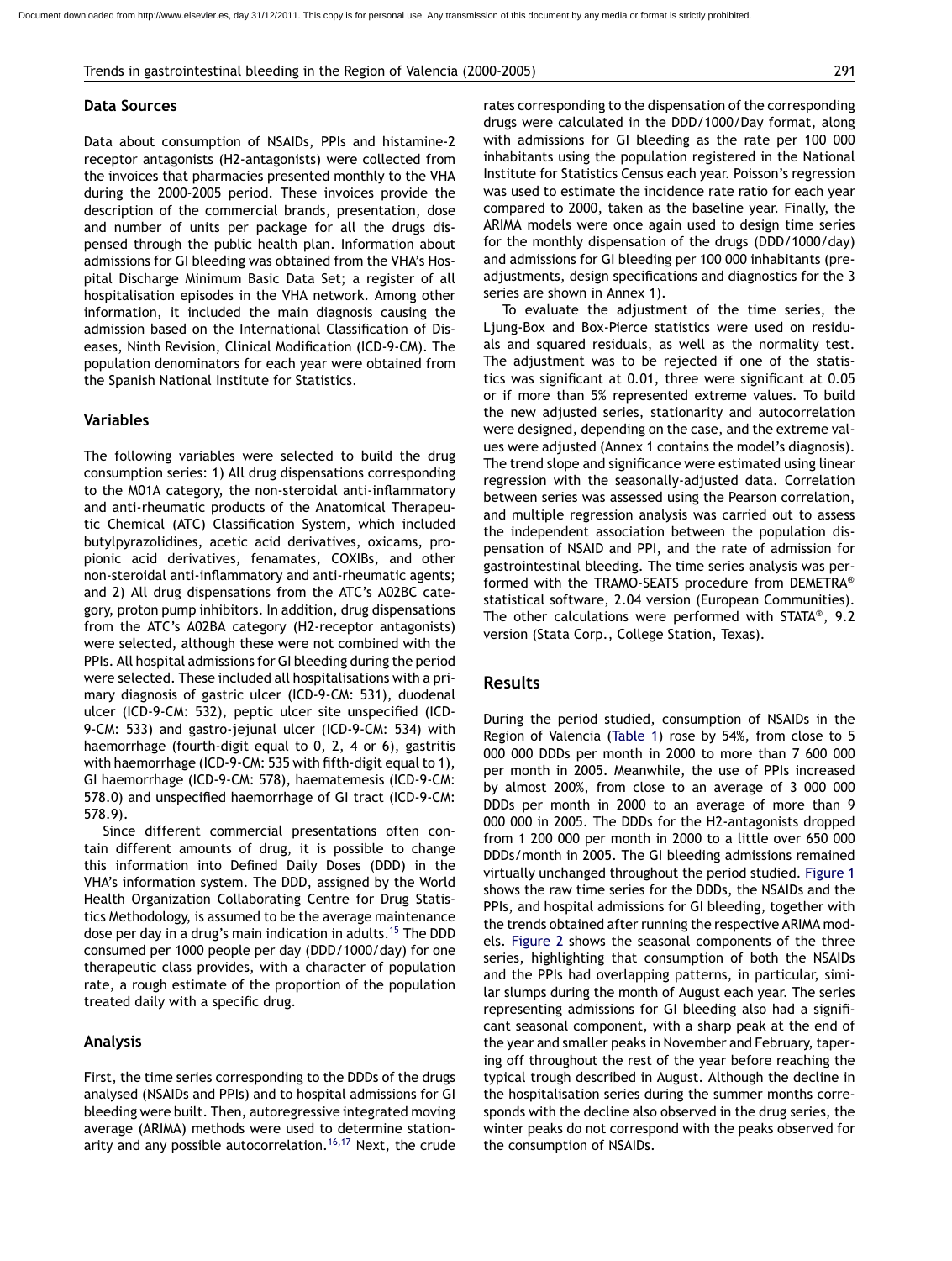#### **Data Sources**

Data about consumption of NSAIDs, PPIs and histamine-2 receptor antagonists (H2-antagonists) were collected from the invoices that pharmacies presented monthly to the VHA during the 2000-2005 period. These invoices provide the description of the commercial brands, presentation, dose and number of units per package for all the drugs dispensed through the public health plan. Information about admissions for GI bleeding was obtained from the VHA's Hospital Discharge Minimum Basic Data Set; a register of all hospitalisation episodes in the VHA network. Among other information, it included the main diagnosis causing the admission based on the International Classification of Diseases, Ninth Revision, Clinical Modification (ICD-9-CM). The population denominators for each year were obtained from the Spanish National Institute for Statistics.

#### **Variables**

The following variables were selected to build the drug consumption series: 1) All drug dispensations corresponding to the M01A category, the non-steroidal anti-inflammatory and anti-rheumatic products of the Anatomical Therapeutic Chemical (ATC) Classification System, which included butylpyrazolidines, acetic acid derivatives, oxicams, propionic acid derivatives, fenamates, COXIBs, and other non-steroidal anti-inflammatory and anti-rheumatic agents; and 2) All drug dispensations from the ATC's A02BC category, proton pump inhibitors. In addition, drug dispensations from the ATC's A02BA category (H2-receptor antagonists) were selected, although these were not combined with the PPIs. All hospital admissions for GI bleeding during the period were selected. These included all hospitalisations with a primary diagnosis of gastric ulcer (ICD-9-CM: 531), duodenal ulcer (ICD-9-CM: 532), peptic ulcer site unspecified (ICD-9-CM: 533) and gastro-jejunal ulcer (ICD-9-CM: 534) with haemorrhage (fourth-digit equal to 0, 2, 4 or 6), gastritis with haemorrhage (ICD-9-CM: 535 with fifth-digit equal to 1), GI haemorrhage (ICD-9-CM: 578), haematemesis (ICD-9-CM: 578.0) and unspecified haemorrhage of GI tract (ICD-9-CM: 578.9).

Since different commercial presentations often contain different amounts of drug, it is possible to change this information into Defined Daily Doses (DDD) in the VHA's information system. The DDD, assigned by the World Health Organization Collaborating Centre for Drug Statistics Methodology, is assumed to be the average maintenance dose per day in a drug's main indication in adults.<sup>[15](#page-8-0)</sup> The DDD consumed per 1000 people per day (DDD/1000/day) for one therapeutic class provides, with a character of population rate, a rough estimate of the proportion of the population treated daily with a specific drug.

#### **Analysis**

First, the time series corresponding to the DDDs of the drugs analysed (NSAIDs and PPIs) and to hospital admissions for GI bleeding were built. Then, autoregressive integrated moving average (ARIMA) methods were used to determine station-arity and any possible autocorrelation.<sup>[16,17](#page-8-0)</sup> Next, the crude rates corresponding to the dispensation of the corresponding drugs were calculated in the DDD/1000/Day format, along with admissions for GI bleeding as the rate per 100 000 inhabitants using the population registered in the National Institute for Statistics Census each year. Poisson's regression was used to estimate the incidence rate ratio for each year compared to 2000, taken as the baseline year. Finally, the ARIMA models were once again used to design time series for the monthly dispensation of the drugs (DDD/1000/day) and admissions for GI bleeding per 100 000 inhabitants (preadjustments, design specifications and diagnostics for the 3 series are shown in Annex 1).

To evaluate the adjustment of the time series, the Ljung-Box and Box-Pierce statistics were used on residuals and squared residuals, as well as the normality test. The adjustment was to be rejected if one of the statistics was significant at 0.01, three were significant at 0.05 or if more than 5% represented extreme values. To build the new adjusted series, stationarity and autocorrelation were designed, depending on the case, and the extreme values were adjusted (Annex 1 contains the model's diagnosis). The trend slope and significance were estimated using linear regression with the seasonally-adjusted data. Correlation between series was assessed using the Pearson correlation, and multiple regression analysis was carried out to assess the independent association between the population dispensation of NSAID and PPI, and the rate of admission for gastrointestinal bleeding. The time series analysis was performed with the TRAMO-SEATS procedure from DEMETRA® statistical software, 2.04 version (European Communities). The other calculations were performed with STATA®, 9.2 version (Stata Corp., College Station, Texas).

## **Results**

During the period studied, consumption of NSAIDs in the Region of Valencia [\(Table 1\)](#page-3-0) rose by 54%, from close to 5 000 000 DDDs per month in 2000 to more than 7 600 000 per month in 2005. Meanwhile, the use of PPIs increased by almost 200%, from close to an average of 3 000 000 DDDs per month in 2000 to an average of more than 9 000 000 in 2005. The DDDs for the H2-antagonists dropped from 1 200 000 per month in 2000 to a little over 650 000 DDDs/month in 2005. The GI bleeding admissions remained virtually unchanged throughout the period studied. [Figure 1](#page-3-0) shows the raw time series for the DDDs, the NSAIDs and the PPIs, and hospital admissions for GI bleeding, together with the trends obtained after running the respective ARIMA models. [Figure 2](#page-4-0) shows the seasonal components of the three series, highlighting that consumption of both the NSAIDs and the PPIs had overlapping patterns, in particular, similar slumps during the month of August each year. The series representing admissions for GI bleeding also had a significant seasonal component, with a sharp peak at the end of the year and smaller peaks in November and February, tapering off throughout the rest of the year before reaching the typical trough described in August. Although the decline in the hospitalisation series during the summer months corresponds with the decline also observed in the drug series, the winter peaks do not correspond with the peaks observed for the consumption of NSAIDs.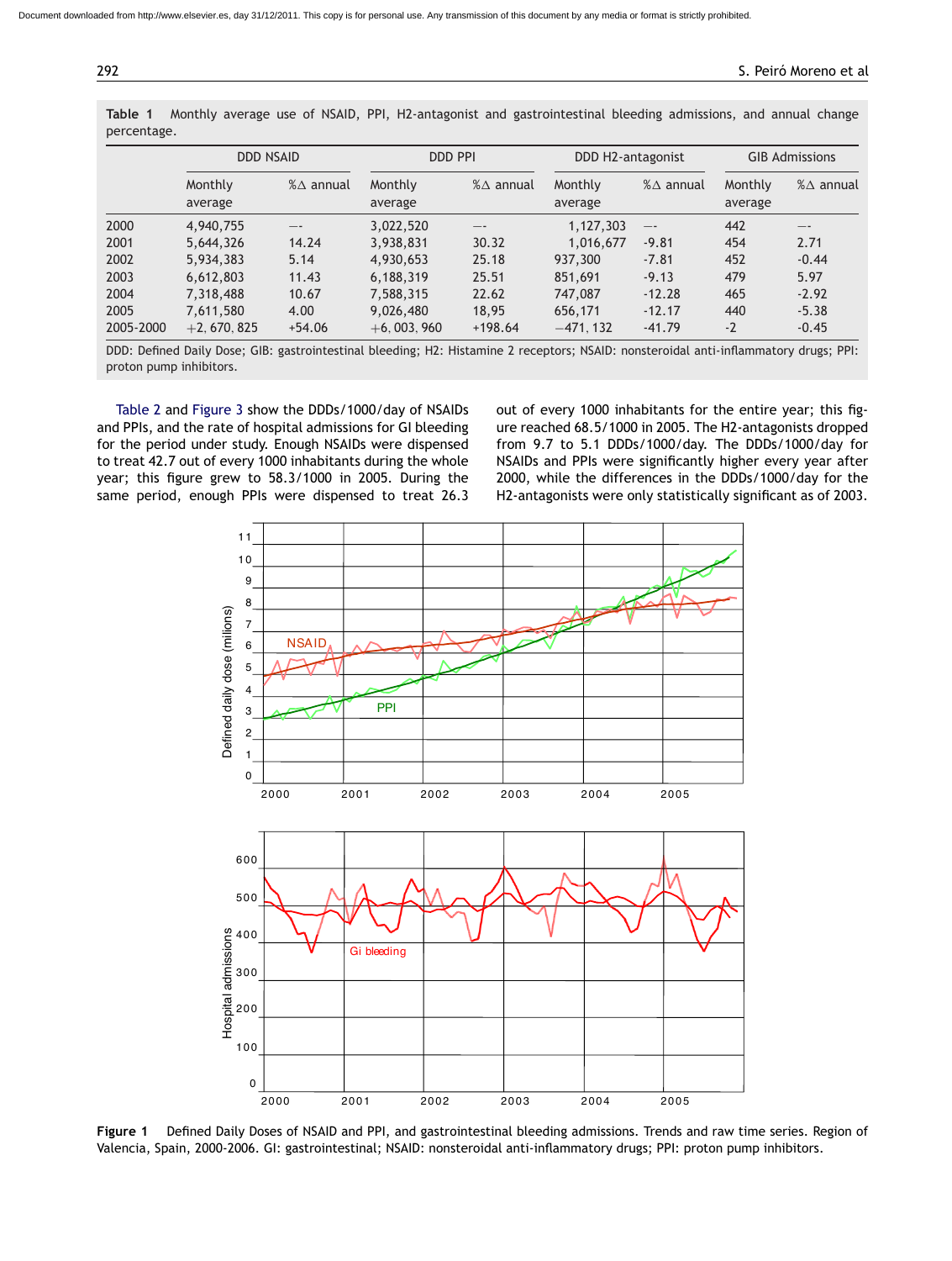|           | <b>DDD NSAID</b>   |                      | DDD PPI            |                      | DDD H2-antagonist  |                      | <b>GIB Admissions</b> |                      |
|-----------|--------------------|----------------------|--------------------|----------------------|--------------------|----------------------|-----------------------|----------------------|
|           | Monthly<br>average | $% \triangle$ annual | Monthly<br>average | $% \triangle$ annual | Monthly<br>average | $% \triangle$ annual | Monthly<br>average    | $% \triangle$ annual |
| 2000      | 4,940,755          |                      | 3,022,520          | $- -$                | 1,127,303          | $- -$                | 442                   | --                   |
| 2001      | 5,644,326          | 14.24                | 3,938,831          | 30.32                | 1,016,677          | $-9.81$              | 454                   | 2.71                 |
| 2002      | 5,934,383          | 5.14                 | 4,930,653          | 25.18                | 937,300            | $-7.81$              | 452                   | $-0.44$              |
| 2003      | 6,612,803          | 11.43                | 6,188,319          | 25.51                | 851,691            | $-9.13$              | 479                   | 5.97                 |
| 2004      | 7.318.488          | 10.67                | 7,588,315          | 22.62                | 747,087            | $-12.28$             | 465                   | $-2.92$              |
| 2005      | 7,611,580          | 4.00                 | 9,026,480          | 18.95                | 656,171            | $-12.17$             | 440                   | $-5.38$              |
| 2005-2000 | $+2,670,825$       | $+54.06$             | $+6,003,960$       | $+198.64$            | $-471.132$         | $-41.79$             | $-2$                  | $-0.45$              |

<span id="page-3-0"></span>**Table 1** Monthly average use of NSAID, PPI, H2-antagonist and gastrointestinal bleeding admissions, and annual change percentage.

DDD: Defined Daily Dose; GIB: gastrointestinal bleeding; H2: Histamine 2 receptors; NSAID: nonsteroidal anti-inflammatory drugs; PPI: proton pump inhibitors.

[Table 2](#page-5-0) and [Figure 3](#page-5-0) show the DDDs/1000/day of NSAIDs and PPIs, and the rate of hospital admissions for GI bleeding for the period under study. Enough NSAIDs were dispensed to treat 42.7 out of every 1000 inhabitants during the whole year; this figure grew to 58.3/1000 in 2005. During the same period, enough PPIs were dispensed to treat 26.3

out of every 1000 inhabitants for the entire year; this figure reached 68.5/1000 in 2005. The H2-antagonists dropped from 9.7 to 5.1 DDDs/1000/day. The DDDs/1000/day for NSAIDs and PPIs were significantly higher every year after 2000, while the differences in the DDDs/1000/day for the H2-antagonists were only statistically significant as of 2003.



**Figure 1** Defined Daily Doses of NSAID and PPI, and gastrointestinal bleeding admissions. Trends and raw time series. Region of Valencia, Spain, 2000-2006. GI: gastrointestinal; NSAID: nonsteroidal anti-inflammatory drugs; PPI: proton pump inhibitors.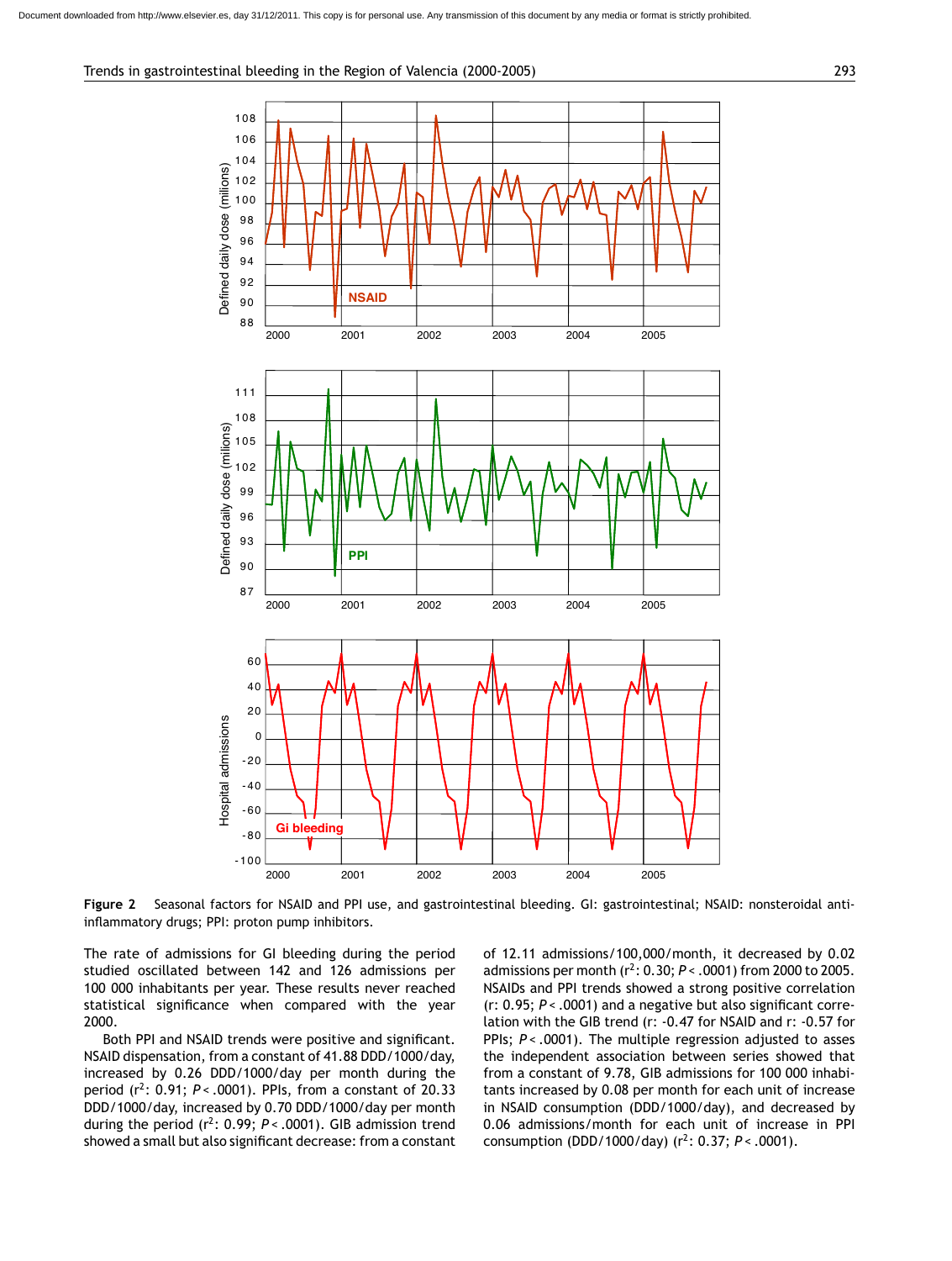<span id="page-4-0"></span>

**Figure 2** Seasonal factors for NSAID and PPI use, and gastrointestinal bleeding. GI: gastrointestinal; NSAID: nonsteroidal antiinflammatory drugs; PPI: proton pump inhibitors.

The rate of admissions for GI bleeding during the period studied oscillated between 142 and 126 admissions per 100 000 inhabitants per year. These results never reached statistical significance when compared with the year 2000.

Both PPI and NSAID trends were positive and significant. NSAID dispensation, from a constant of 41.88 DDD/1000/day, increased by 0.26 DDD/1000/day per month during the period (r2: 0.91; *P* < .0001). PPIs, from a constant of 20.33 DDD/1000/day, increased by 0.70 DDD/1000/day per month during the period  $(r^2: 0.99; P < .0001)$ . GIB admission trend showed a small but also significant decrease: from a constant of 12.11 admissions/100,000/month, it decreased by 0.02 admissions per month ( $r^2$ : 0.30; *P* < .0001) from 2000 to 2005. NSAIDs and PPI trends showed a strong positive correlation (r: 0.95; *P* < .0001) and a negative but also significant correlation with the GIB trend (r: -0.47 for NSAID and r: -0.57 for PPIs;  $P < .0001$ ). The multiple regression adjusted to asses the independent association between series showed that from a constant of 9.78, GIB admissions for 100 000 inhabitants increased by 0.08 per month for each unit of increase in NSAID consumption (DDD/1000/day), and decreased by 0.06 admissions/month for each unit of increase in PPI consumption (DDD/1000/day) ( $r^2$ : 0.37;  $P < .0001$ ).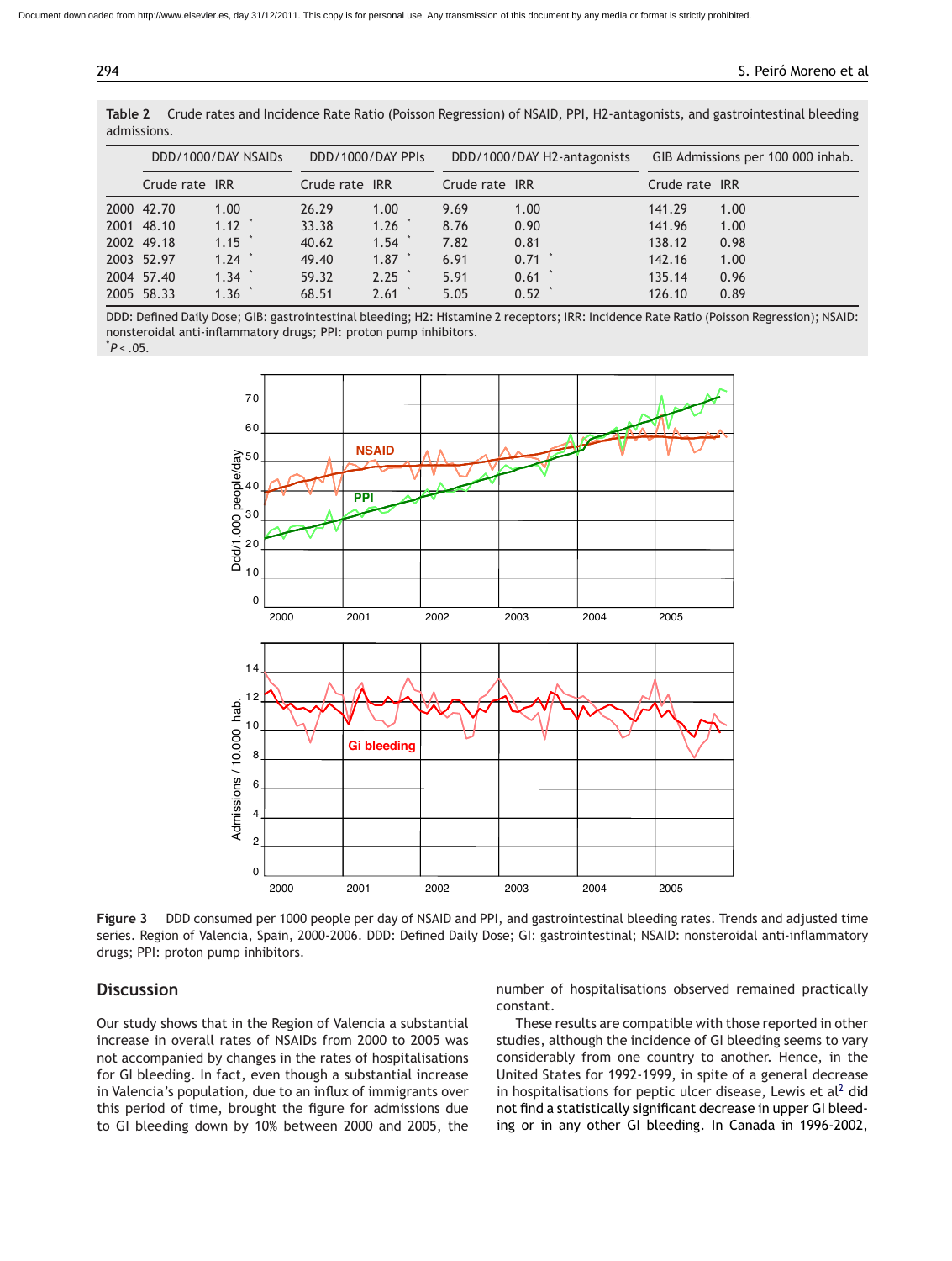| DDD/1000/DAY NSAIDs |                  | DDD/1000/DAY PPIs |            | DDD/1000/DAY H2-antagonists |          | GIB Admissions per 100 000 inhab. |      |
|---------------------|------------------|-------------------|------------|-----------------------------|----------|-----------------------------------|------|
| Crude rate IRR      |                  | Crude rate IRR    |            | Crude rate IRR              |          | Crude rate IRR                    |      |
| 2000 42.70          | 1.00             | 26.29             | 1.00       | 9.69                        | 1.00     | 141.29                            | 1.00 |
| 2001 48.10          | $1.12$ *         | 33.38             | 1.26       | 8.76                        | 0.90     | 141.96                            | 1.00 |
| 2002 49.18          | $1.15$ $\degree$ | 40.62             | 1.54       | 7.82                        | 0.81     | 138.12                            | 0.98 |
| 2003 52.97          | $1.24$ $*$       | 49.40             | 1.87       | 6.91                        | $0.71$ * | 142.16                            | 1.00 |
| 2004 57.40          | $1.34$ $*$       | 59.32             | $2.25$ $*$ | 5.91                        | 0.61     | 135.14                            | 0.96 |
| 2005 58.33          | 1.36             | 68.51             | 2.61       | 5.05                        | 0.52     | 126.10                            | 0.89 |

<span id="page-5-0"></span>**Table 2** Crude rates and Incidence Rate Ratio (Poisson Regression) of NSAID, PPI, H2-antagonists, and gastrointestinal bleeding admissions.

DDD: Defined Daily Dose; GIB: gastrointestinal bleeding; H2: Histamine 2 receptors; IRR: Incidence Rate Ratio (Poisson Regression); NSAID: nonsteroidal anti-inflammatory drugs; PPI: proton pump inhibitors. \* *P* < .05.



**Figure 3** DDD consumed per 1000 people per day of NSAID and PPI, and gastrointestinal bleeding rates. Trends and adjusted time series. Region of Valencia, Spain, 2000-2006. DDD: Defined Daily Dose; GI: gastrointestinal; NSAID: nonsteroidal anti-inflammatory drugs; PPI: proton pump inhibitors.

## **Discussion**

Our study shows that in the Region of Valencia a substantial increase in overall rates of NSAIDs from 2000 to 2005 was not accompanied by changes in the rates of hospitalisations for GI bleeding. In fact, even though a substantial increase in Valencia's population, due to an influx of immigrants over this period of time, brought the figure for admissions due to GI bleeding down by 10% between 2000 and 2005, the number of hospitalisations observed remained practically constant.

These results are compatible with those reported in other studies, although the incidence of GI bleeding seems to vary considerably from one country to another. Hence, in the United States for 1992-1999, in spite of a general decrease in hospitalisations for peptic ulcer [d](#page-8-0)isease, Lewis et al<sup>2</sup> did not find a statistically significant decrease in upper GI bleeding or in any other GI bleeding. In Canada in 1996-2002,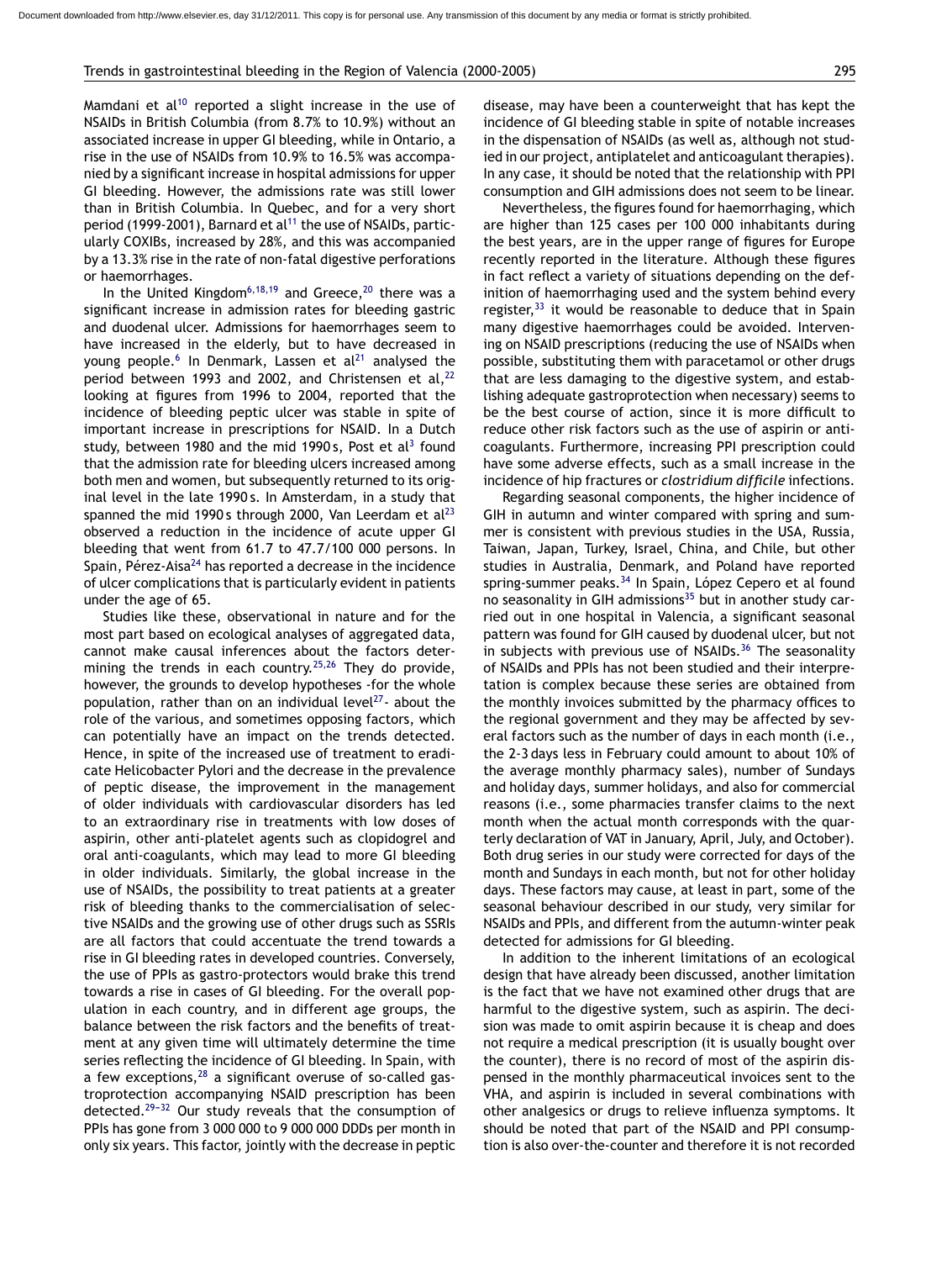#### Trends in gastrointestinal bleeding in the Region of Valencia (2000-2005) 295

Mamdani et  $al^{10}$  reported a slight increase in the use of NSAIDs in British Columbia (from 8.7% to 10.9%) without an associated increase in upper GI bleeding, while in Ontario, a rise in the use of NSAIDs from 10.9% to 16.5% was accompanied by a significant increase in hospital admissions for upper GI bleeding. However, the admissions rate was still lower than in British Columbia. In Quebec, and for a very short period (1999-2001), Barnard et al<sup>[11](#page-8-0)</sup> the use of NSAIDs, particularly COXIBs, increased by 28%, and this was accompanied by a 13.3% rise in the rate of non-fatal digestive perforations or haemorrhages.

In the United Kingdom<sup>[6,18,19](#page-8-0)</sup> and Greece,<sup>[20](#page-8-0)</sup> there was a significant increase in admission rates for bleeding gastric and duodenal ulcer. Admissions for haemorrhages seem to have increased in the elderly, but to have decreased in young people.<sup>[6](#page-8-0)</sup> In Denmark, Lassen et al<sup>[21](#page-8-0)</sup> analysed the period between 1993 and 2002, and Christensen et al,  $22$ looking at figures from 1996 to 2004, reported that the incidence of bleeding peptic ulcer was stable in spite of important increase in prescriptions for NSAID. In a Dutch study, between 1980 and the mid 1990 s, Post et al<sup>[3](#page-8-0)</sup> found that the admission rate for bleeding ulcers increased among both men and women, but subsequently returned to its original level in the late 1990 s. In Amsterdam, in a study that spanned the mid 1990s through 2000, Van Leerdam et  $al^{23}$  $al^{23}$  $al^{23}$ observed a reduction in the incidence of acute upper GI bleeding that went from 61.7 to 47.7/100 000 persons. In Spain, Pérez-Aisa<sup>[24](#page-8-0)</sup> has reported a decrease in the incidence of ulcer complications that is particularly evident in patients under the age of 65.

Studies like these, observational in nature and for the most part based on ecological analyses of aggregated data, cannot make causal inferences about the factors deter-mining the trends in each country.<sup>[25,26](#page-8-0)</sup> They do provide, however, the grounds to develop hypotheses -for the whole population, rather than on an individual level<sup>27</sup>- about the role of the various, and sometimes opposing factors, which can potentially have an impact on the trends detected. Hence, in spite of the increased use of treatment to eradicate Helicobacter Pylori and the decrease in the prevalence of peptic disease, the improvement in the management of older individuals with cardiovascular disorders has led to an extraordinary rise in treatments with low doses of aspirin, other anti-platelet agents such as clopidogrel and oral anti-coagulants, which may lead to more GI bleeding in older individuals. Similarly, the global increase in the use of NSAIDs, the possibility to treat patients at a greater risk of bleeding thanks to the commercialisation of selective NSAIDs and the growing use of other drugs such as SSRIs are all factors that could accentuate the trend towards a rise in GI bleeding rates in developed countries. Conversely, the use of PPIs as gastro-protectors would brake this trend towards a rise in cases of GI bleeding. For the overall population in each country, and in different age groups, the balance between the risk factors and the benefits of treatment at any given time will ultimately determine the time series reflecting the incidence of GI bleeding. In Spain, with a few exceptions,  $28$  a significant overuse of so-called gastroprotection accompanying NSAID prescription has been detected. $29-32$  Our study reveals that the consumption of PPIs has gone from 3 000 000 to 9 000 000 DDDs per month in only six years. This factor, jointly with the decrease in peptic disease, may have been a counterweight that has kept the incidence of GI bleeding stable in spite of notable increases in the dispensation of NSAIDs (as well as, although not studied in our project, antiplatelet and anticoagulant therapies). In any case, it should be noted that the relationship with PPI consumption and GIH admissions does not seem to be linear.

Nevertheless, the figures found for haemorrhaging, which are higher than 125 cases per 100 000 inhabitants during the best years, are in the upper range of figures for Europe recently reported in the literature. Although these figures in fact reflect a variety of situations depending on the definition of haemorrhaging used and the system behind every register, $33$  it would be reasonable to deduce that in Spain many digestive haemorrhages could be avoided. Intervening on NSAID prescriptions (reducing the use of NSAIDs when possible, substituting them with paracetamol or other drugs that are less damaging to the digestive system, and establishing adequate gastroprotection when necessary) seems to be the best course of action, since it is more difficult to reduce other risk factors such as the use of aspirin or anticoagulants. Furthermore, increasing PPI prescription could have some adverse effects, such as a small increase in the incidence of hip fractures or *clostridium difficile* infections.

Regarding seasonal components, the higher incidence of GIH in autumn and winter compared with spring and summer is consistent with previous studies in the USA, Russia, Taiwan, Japan, Turkey, Israel, China, and Chile, but other studies in Australia, Denmark, and Poland have reported spring-summer peaks.<sup>[34](#page-8-0)</sup> In Spain, López Cepero et al found no seasonality in GIH admissions $35$  but in another study carried out in one hospital in Valencia, a significant seasonal pattern was found for GIH caused by duodenal ulcer, but not in subjects with previous use of NSAIDs. $36$  The seasonality of NSAIDs and PPIs has not been studied and their interpretation is complex because these series are obtained from the monthly invoices submitted by the pharmacy offices to the regional government and they may be affected by several factors such as the number of days in each month (i.e., the 2-3 days less in February could amount to about 10% of the average monthly pharmacy sales), number of Sundays and holiday days, summer holidays, and also for commercial reasons (i.e., some pharmacies transfer claims to the next month when the actual month corresponds with the quarterly declaration of VAT in January, April, July, and October). Both drug series in our study were corrected for days of the month and Sundays in each month, but not for other holiday days. These factors may cause, at least in part, some of the seasonal behaviour described in our study, very similar for NSAIDs and PPIs, and different from the autumn-winter peak detected for admissions for GI bleeding.

In addition to the inherent limitations of an ecological design that have already been discussed, another limitation is the fact that we have not examined other drugs that are harmful to the digestive system, such as aspirin. The decision was made to omit aspirin because it is cheap and does not require a medical prescription (it is usually bought over the counter), there is no record of most of the aspirin dispensed in the monthly pharmaceutical invoices sent to the VHA, and aspirin is included in several combinations with other analgesics or drugs to relieve influenza symptoms. It should be noted that part of the NSAID and PPI consumption is also over-the-counter and therefore it is not recorded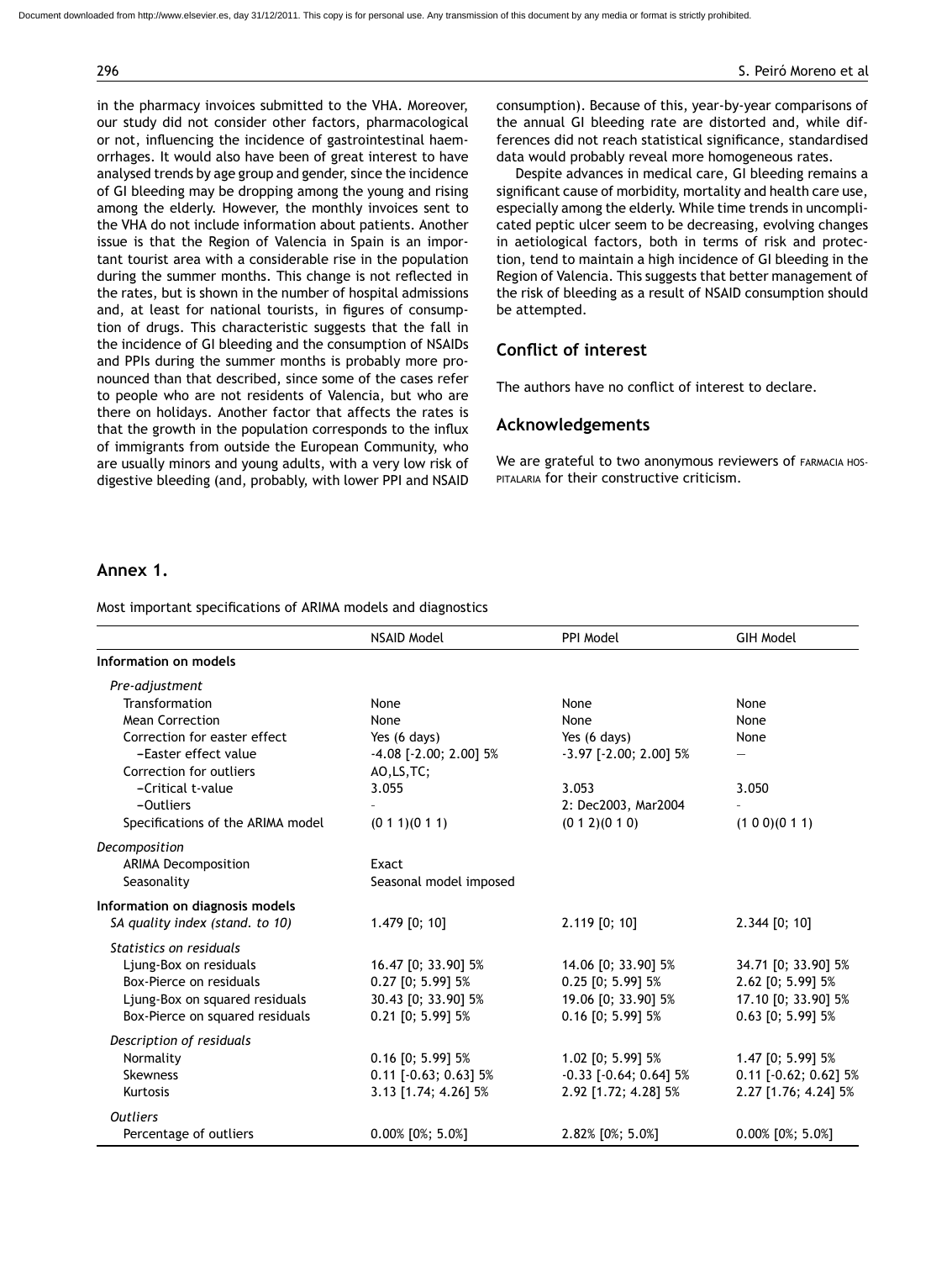in the pharmacy invoices submitted to the VHA. Moreover, our study did not consider other factors, pharmacological or not, influencing the incidence of gastrointestinal haemorrhages. It would also have been of great interest to have analysed trends by age group and gender, since the incidence of GI bleeding may be dropping among the young and rising among the elderly. However, the monthly invoices sent to the VHA do not include information about patients. Another issue is that the Region of Valencia in Spain is an important tourist area with a considerable rise in the population during the summer months. This change is not reflected in the rates, but is shown in the number of hospital admissions and, at least for national tourists, in figures of consumption of drugs. This characteristic suggests that the fall in the incidence of GI bleeding and the consumption of NSAIDs and PPIs during the summer months is probably more pronounced than that described, since some of the cases refer to people who are not residents of Valencia, but who are there on holidays. Another factor that affects the rates is that the growth in the population corresponds to the influx of immigrants from outside the European Community, who are usually minors and young adults, with a very low risk of digestive bleeding (and, probably, with lower PPI and NSAID

consumption). Because of this, year-by-year comparisons of the annual GI bleeding rate are distorted and, while differences did not reach statistical significance, standardised data would probably reveal more homogeneous rates.

Despite advances in medical care, GI bleeding remains a significant cause of morbidity, mortality and health care use, especially among the elderly. While time trends in uncomplicated peptic ulcer seem to be decreasing, evolving changes in aetiological factors, both in terms of risk and protection, tend to maintain a high incidence of GI bleeding in the Region of Valencia. This suggests that better management of the risk of bleeding as a result of NSAID consumption should be attempted.

## **Conflict of interest**

The authors have no conflict of interest to declare.

## **Acknowledgements**

We are grateful to two anonymous reviewers of FARMACIA HOSpitalaria for their constructive criticism.

## **Annex 1.**

Most important specifications of ARIMA models and diagnostics

|                                   | <b>NSAID Model</b>                                           | PPI Model                    | <b>GIH Model</b>            |  |  |  |
|-----------------------------------|--------------------------------------------------------------|------------------------------|-----------------------------|--|--|--|
| Information on models             |                                                              |                              |                             |  |  |  |
| Pre-adjustment                    |                                                              |                              |                             |  |  |  |
| Transformation                    | None                                                         | None                         | None                        |  |  |  |
| <b>Mean Correction</b>            | None                                                         | None                         | None                        |  |  |  |
| Correction for easter effect      | Yes (6 days)                                                 | Yes (6 days)                 | None                        |  |  |  |
| -Easter effect value              | $-4.08$ [ $-2.00$ ; 2.00] 5%<br>$-3.97$ [ $-2.00$ ; 2.00] 5% |                              |                             |  |  |  |
| Correction for outliers           | AO, LS, TC;                                                  |                              |                             |  |  |  |
| -Critical t-value                 | 3.055                                                        | 3.053                        | 3.050                       |  |  |  |
| -Outliers                         |                                                              | 2: Dec2003, Mar2004          |                             |  |  |  |
| Specifications of the ARIMA model | (0 1 1)(0 1 1)                                               | (0 1 2)(0 1 0)               | (1 0 0)(0 1 1)              |  |  |  |
| Decomposition                     |                                                              |                              |                             |  |  |  |
| <b>ARIMA Decomposition</b>        | Exact                                                        |                              |                             |  |  |  |
| Seasonality                       | Seasonal model imposed                                       |                              |                             |  |  |  |
| Information on diagnosis models   |                                                              |                              |                             |  |  |  |
| SA quality index (stand. to 10)   | $1.479$ [0; 10]                                              | 2.119 [0; 10]                | 2.344 [0; 10]               |  |  |  |
| Statistics on residuals           |                                                              |                              |                             |  |  |  |
| Ljung-Box on residuals            | 16.47 [0; 33.90] 5%                                          | 14.06 [0; 33.90] 5%          | 34.71 [0; 33.90] 5%         |  |  |  |
| Box-Pierce on residuals           | 0.27 [0; 5.99] 5%                                            | $0.25$ [0; 5.99] 5%          | 2.62 [0; 5.99] 5%           |  |  |  |
| Ljung-Box on squared residuals    | 30.43 [0; 33.90] 5%                                          | 19.06 [0; 33.90] 5%          | 17.10 [0; 33.90] 5%         |  |  |  |
| Box-Pierce on squared residuals   | $0.21$ [0; 5.99] 5%                                          | $0.16$ [0; 5.99] 5%          | $0.63$ [0; 5.99] 5%         |  |  |  |
| Description of residuals          |                                                              |                              |                             |  |  |  |
| Normality                         | $0.16$ [0; 5.99] 5%                                          | 1.02 [0; 5.99] 5%            | 1.47 [0; 5.99] 5%           |  |  |  |
| <b>Skewness</b>                   | $0.11$ [ $-0.63$ ; 0.63] 5%                                  | $-0.33$ [ $-0.64$ ; 0.64] 5% | $0.11$ [ $-0.62$ ; 0.62] 5% |  |  |  |
| Kurtosis                          | 3.13 [1.74; 4.26] 5%                                         | 2.92 [1.72; 4.28] 5%         | 2.27 [1.76; 4.24] 5%        |  |  |  |
| <b>Outliers</b>                   |                                                              |                              |                             |  |  |  |
| Percentage of outliers            | $0.00\%$ [0%; 5.0%]                                          | $2.82\%$ [0%; 5.0%]          | $0.00\%$ [0%; 5.0%]         |  |  |  |